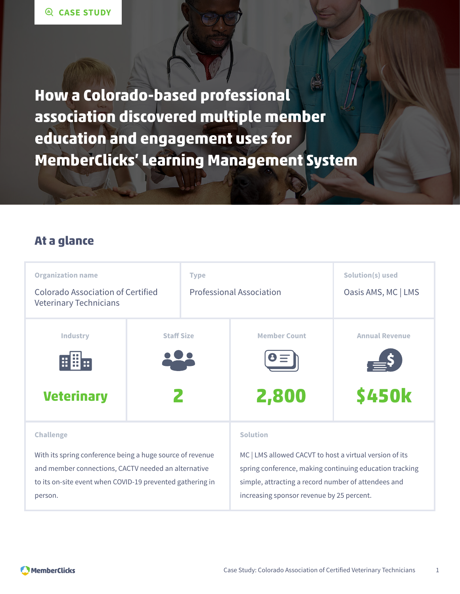**How a Colorado-based professional association discovered multiple member education and engagement uses for MemberClicks' Learning Management System**

### **At a glance**

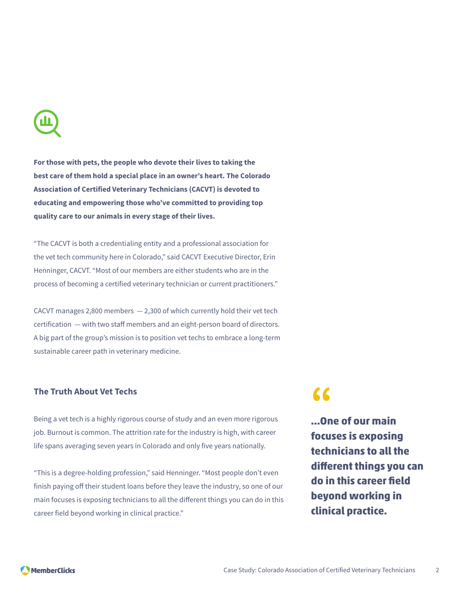**For those with pets, the people who devote their lives to taking the best care of them hold a special place in an owner's heart. The Colorado Association of Certified Veterinary Technicians (CACVT) is devoted to educating and empowering those who've committed to providing top quality care to our animals in every stage of their lives.**

"The CACVT is both a credentialing entity and a professional association for the vet tech community here in Colorado," said CACVT Executive Director, Erin Henninger, CACVT. "Most of our members are either students who are in the process of becoming a certified veterinary technician or current practitioners."

CACVT manages 2,800 members  $-2,300$  of which currently hold their vet tech certification — with two staff members and an eight-person board of directors. A big part of the group's mission is to position vet techs to embrace a long-term sustainable career path in veterinary medicine.

#### **The Truth About Vet Techs**

Being a vet tech is a highly rigorous course of study and an even more rigorous job. Burnout is common. The attrition rate for the industry is high, with career life spans averaging seven years in Colorado and only five years nationally.

"This is a degree-holding profession," said Henninger. "Most people don't even finish paying off their student loans before they leave the industry, so one of our main focuses is exposing technicians to all the different things you can do in this career field beyond working in clinical practice."

# **"**

**...One of our main focuses is exposing technicians to all the different things you can do in this career field beyond working in clinical practice.**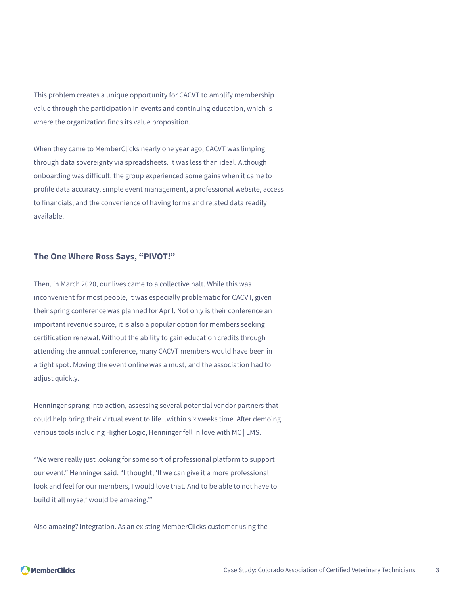This problem creates a unique opportunity for CACVT to amplify membership value through the participation in events and continuing education, which is where the organization finds its value proposition.

When they came to MemberClicks nearly one year ago, CACVT was limping through data sovereignty via spreadsheets. It was less than ideal. Although onboarding was difficult, the group experienced some gains when it came to profile data accuracy, simple event management, a professional website, access to financials, and the convenience of having forms and related data readily available.

#### **The One Where Ross Says, "PIVOT!"**

Then, in March 2020, our lives came to a collective halt. While this was inconvenient for most people, it was especially problematic for CACVT, given their spring conference was planned for April. Not only is their conference an important revenue source, it is also a popular option for members seeking certification renewal. Without the ability to gain education credits through attending the annual conference, many CACVT members would have been in a tight spot. Moving the event online was a must, and the association had to adjust quickly.

Henninger sprang into action, assessing several potential vendor partners that could help bring their virtual event to life...within six weeks time. After demoing various tools including Higher Logic, Henninger fell in love with MC | LMS.

"We were really just looking for some sort of professional platform to support our event," Henninger said. "I thought, 'If we can give it a more professional look and feel for our members, I would love that. And to be able to not have to build it all myself would be amazing.'"

Also amazing? Integration. As an existing MemberClicks customer using the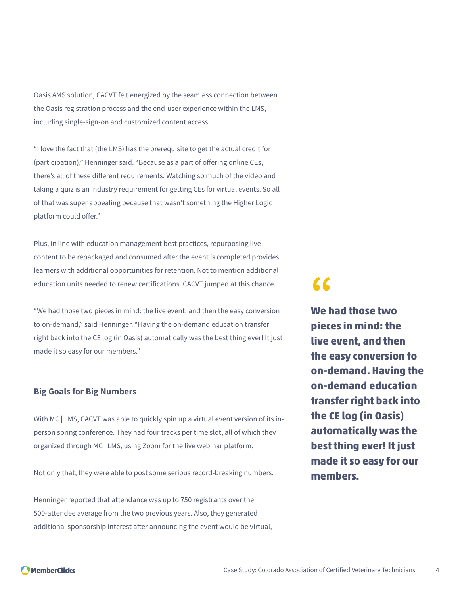Oasis AMS solution, CACVT felt energized by the seamless connection between the Oasis registration process and the end-user experience within the LMS, including single-sign-on and customized content access.

"I love the fact that (the LMS) has the prerequisite to get the actual credit for (participation)," Henninger said. "Because as a part of offering online CEs, there's all of these different requirements. Watching so much of the video and taking a quiz is an industry requirement for getting CEs for virtual events. So all of that was super appealing because that wasn't something the Higher Logic platform could offer."

Plus, in line with education management best practices, repurposing live content to be repackaged and consumed after the event is completed provides learners with additional opportunities for retention. Not to mention additional education units needed to renew certifications. CACVT jumped at this chance.

"We had those two pieces in mind: the live event, and then the easy conversion to on-demand," said Henninger. "Having the on-demand education transfer right back into the CE log (in Oasis) automatically was the best thing ever! It just made it so easy for our members."

#### **Big Goals for Big Numbers**

With MC | LMS, CACVT was able to quickly spin up a virtual event version of its inperson spring conference. They had four tracks per time slot, all of which they organized through MC | LMS, using Zoom for the live webinar platform.

Not only that, they were able to post some serious record-breaking numbers.

Henninger reported that attendance was up to 750 registrants over the 500-attendee average from the two previous years. Also, they generated additional sponsorship interest after announcing the event would be virtual,

## **"**

**We had those two pieces in mind: the live event, and then the easy conversion to on-demand. Having the on-demand education transfer right back into the CE log (in Oasis) automatically was the best thing ever! It just made it so easy for our members.**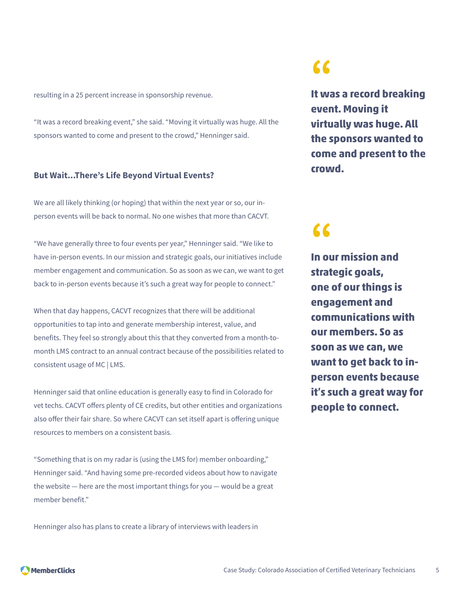resulting in a 25 percent increase in sponsorship revenue.

"It was a record breaking event," she said. "Moving it virtually was huge. All the sponsors wanted to come and present to the crowd," Henninger said.

#### **But Wait...There's Life Beyond Virtual Events?**

We are all likely thinking (or hoping) that within the next year or so, our inperson events will be back to normal. No one wishes that more than CACVT.

"We have generally three to four events per year," Henninger said. "We like to have in-person events. In our mission and strategic goals, our initiatives include member engagement and communication. So as soon as we can, we want to get back to in-person events because it's such a great way for people to connect."

When that day happens, CACVT recognizes that there will be additional opportunities to tap into and generate membership interest, value, and benefits. They feel so strongly about this that they converted from a month-tomonth LMS contract to an annual contract because of the possibilities related to consistent usage of MC | LMS.

Henninger said that online education is generally easy to find in Colorado for vet techs. CACVT offers plenty of CE credits, but other entities and organizations also offer their fair share. So where CACVT can set itself apart is offering unique resources to members on a consistent basis.

"Something that is on my radar is (using the LMS for) member onboarding," Henninger said. "And having some pre-recorded videos about how to navigate the website — here are the most important things for you — would be a great member benefit."

Henninger also has plans to create a library of interviews with leaders in

### **"**

**It was a record breaking event. Moving it virtually was huge. All the sponsors wanted to come and present to the crowd.**

### **"**

**In our mission and strategic goals, one of our things is engagement and communications with our members. So as soon as we can, we want to get back to inperson events because it's such a great way for people to connect.**